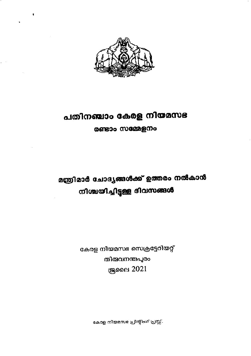

# പതിനഞ്ചാം കേരള നിയമസഭ

രണ്ടാം സമ്മേളനം

മന്ത്രിമാർ ചോദ്യങ്ങൾക്ക് ഉത്തരം നൽകാൻ നിശ്ചയിച്ചിട്ടുള്ള ദിവസങ്ങൾ

> കേരള നിയമസഭ സെക്രട്ടേറിയറ്റ് തിരുവനന്തപുരം **இ**ലൈ 2021

> > കോള നിയമസഭ പ്രിന്റീംഗ് പ്രസ്സ്.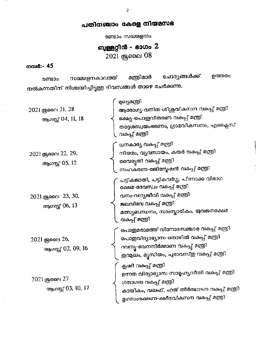#### പതിനഞ്ചാം കേരള നിയമസഭ

രണ്ടാം സമ്മേളനം

ബുള്ളറ്റിൻ - ഭാഗം 2

2021 குவை 08

#### നമ്പർ:- 45

 $\sim$   $\sim$ 

ചോദ്യങ്ങൾക്ക് ഉത്തരം മന്ത്രിമാർ സമ്മേളനകാലത്ത് രണ്ടാം നൽകന്നതിന് നിശ്ചയിച്ചിട്ടുള്ള ദിവസങ്ങൾ താഴെ ചേർക്കന്നു.

| 2021 ஆ ை 21, 28<br>ആഗസ്റ്റ് 04, 11, 18 | മുഖ്യമന്ത്രി<br>ആരോഗ്യ-വനിത-ശിശുവികസന വകപ്പ് മന്ത്രി<br>ഭക്ഷ്യ-പൊഇവിതരണ വകപ്പ് മന്ത്രി<br>തദ്ദേശസ്വയംഭരണം, ഗ്രാമവികസനം, എക്ലൈസ്<br>വകപ്പ് മന്ത്രി                                           |
|----------------------------------------|---------------------------------------------------------------------------------------------------------------------------------------------------------------------------------------------|
| 2021 ജ്രൈ 22, 29,<br>ആഗസ്റ്റ് 05, 12   | ധനകാര്യ വകപ്പ് മന്ത്രി<br>നിയമം, വ്യവസായം, കയർ വകുപ്പ് മന്ത്രി<br>വൈദൃതി വകപ്പ് മന്ത്രി<br>സഹകരണ-രജിസ്റ്റേഷൻ വകപ്പ് മന്ത്രി                                                                 |
| 2021 ஆലை 23, 30,<br>ആഗസ്റ്റ് 06, 13    | പട്ടികജാതി, പട്ടികവർഗ്ഗ, പിന്നാക്ക വിഭാഗ<br>ക്ഷേമ-ദേവസ്വം വകപ്പ് മന്ത്രി<br>വനം-വന്യജീവി വകപ്പ് മന്ത്രി<br>ജലവിഭവ വകപ്പ് മന്ത്രി<br>മത്സ്യബന്ധനം, സാംസ്കാരികം, യുവജനക്ഷേമ<br>വകപ്പ് മന്ത്രി |
| 2021 ജ്രലൈ 26,<br>ആഗസ്റ്റ് 02, 09, 16  | പൊതുമരാമത്ത്-വിനോദസഞ്ചാര വകപ്പ് മന്ത്രി<br>പൊഇവിദ്യാഭ്യാസ-തൊഴിൽ വകപ്പ് മന്ത്രി<br>റവന്യ-ഭവനനിർമ്മാണ വകപ്പ് മന്ത്രി<br>ഇറമുഖം, മൃസിയം, പുരാവസ്തു വകുപ്പ് മന്ത്രി                             |
| 2021 ജ്രൈ 27<br>ആഗസ്റ്റ് 03, 10, 17    | കൃഷി വകപ്പ് മത്രി<br>ഉന്നത വിദ്യാഭ്യാസ-സാമൂഹ്യനീതി വകപ്പ് മന്ത്രി<br>ഗതാഗത വകപ്പ് മന്ത്രി<br>കായികം, വഖഫ്, ഹജ് തീർത്ഥാടന വകപ്പ് മന്ത്രി<br>മൃഗസംരക്ഷണ-ക്ഷീരവികസന വകപ്പ് മന്ത്രി             |

 $\overline{2}$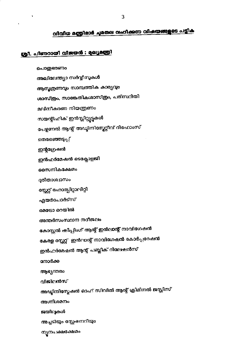### നിവിധ മന്ത്രിമാർ ചുമതല വഹിക്കുന്ന വിഷയങ്ങളുടെ പട്ടിക

#### ശ്രീ. പിണറായി വിജയർ : മുഖ്യമന്ത്രി

 $\ddot{\phantom{0}}$ 

പൊ<u>ത</u>്രഭരണം അഖിലേന്ത്യാ സർവ്വീസുകൾ ആസൂത്രണവും സാമ്പത്തിക കാര്യവും ശാസ്ത്രം, സാങ്കേതികശാസ്ത്രം, പരിസ്ഥിതി മലിനീകരണ നിയന്ത്രണം സയന്റീഫിക് ഇൻസ്റ്റിറ്റ്യൂട്ടുകൾ പേഴ്ലണൽ ആന്റ് അഡ്വിനിസ്ലേറ്റീവ് റിഫോംസ് തെരഞ്ഞെടുപ്പ് ഇന്റഗ്രേഷൻ ഇൻഫർമേഷൻ ടെക്ലോളജി സൈനികക്ഷേമം ദുരിതാശ്വാസം സ്റ്റേറ്റ് ഹോസ്പിറ്റാലിറ്റി എയർപോർട്സ് മെടോ റെയിൽ അന്തർസംസ്ഥാന നദീജലം കോസ്റ്റൽ കിപ്പിംഗ് ആന്റ് ഇൻലാന്റ് നാവിഗേഷൻ കേരള സ്റ്റേറ്റ് ഇൻവാന്റ് നാവിഗേഷൻ കോർപ്പറേഷൻ ഇൻഫർമേഷൻ ആന്റ് പബ്ലിക് റിലേഷൻസ് നോർക്ക ആഭ്യന്തരം വിജിലൻസ് അഡ്യിനിസ്റ്റേഷൻ ഓഫ് സിവിൽ ആന്റ് ക്രിമിനൽ ജസ്റ്റിസ് അഗ്നിശമനം ജയിലുകൾ അച്ചടിയും സ്റ്റേഷനറിയും ന്യൂനപക്ഷക്ഷേമം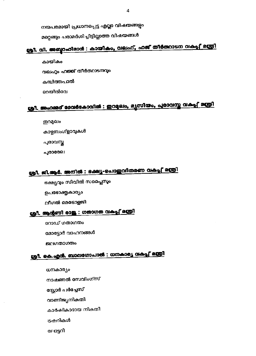നയപരമായി പ്രധാനപ്പെട്ട എല്ലാ വിഷയങ്ങളും

മറ്റെങ്ങും പരാമർശിച്ചിട്ടില്ലാത്ത വിഷയങ്ങൾ

# ശ്രീ. വി. അബ്ബാഹിമാർ : കായികം, വലഫ്, ഹജ് തീർത്ഥാടന വകുപ്പ് മന്ത്രി

കായികം വഖഫും ഹജ്ജ് തീർത്ഥാടനവും കമ്പിത്തപാൽ

റെയിൽവേ

# ശ്രീ. അഹമ്മദ് ദേവർകോവിൽ : ഇറപ്പോം, മൃസിയം, പുരാവസ്ത വകപ്പ്, മന്ത്രി

തുറമുഖം കാഴ്ചബംഗ്ളാവുകൾ പുരാവസ്ത പൂരാരേഖ

### ശ്രീ. ജി.ആർ. അനിൽ : ഭക്ഷ്യ-പൊതുവിതരണ വകുപ്പ് മന്ത്രി

ഭക്ഷ്യവും സിവിൽ സപ്ലൈസും

ഉപഭോക്തൃകാര്യം

ലീഗൽ മെടോളജി

#### <u>ശ്രീ. ആന്റണി രാജ : ഗതാഗത വകപ്പ് മന്ത്രി</u>

റോഡ് ഗതാഗതം

മോട്ടോർ വാഹനങ്ങൾ

ജലഗതാഗതം

#### ശ്രീ. കെ.എർ. ബാലഗോപാൽ : ധനകാര്യ വകപ്പ് മന്ത്രി

ധനകാര്യം നാഷണൽ സേവിംഗ്സ് സ്റ്റോർ പർച്ചേസ് വാണിജ്യനികതി കാർഷികാദായ നികതി ട്രഷറികൾ ലോട്ടറി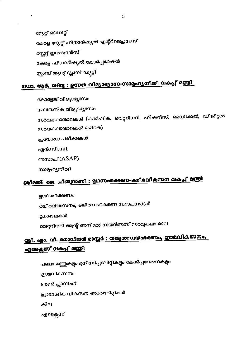പഞ്ചായത്തുകളും മുനിസിപ്പാലിറ്റികളും കോർപ്പറേഷൻകളും ഗ്രാമവികസനം ടൗൺ പ്ലാനിംഗ് പ്രാദേശിക വികസന അതോറിറ്റികൾ കില എക്ലൈസ്

### ശ്രീ. എം. വി. ഗോവിൽ മാസ്റ്റർ : തദ്ദേശസ്വയംഒരണം, ഗ്രാമവികസനം, <u>എഫ്ലൈസ് വകപ്പ് മന്ത്രി</u>

മൃഗസംരക്ഷണം ക്ഷീരവികസനം, ക്ഷീരസഹകരണ സ്ഥാപനങ്ങൾ മൃഗശാലകൾ വെറ്ററിനറി ആന്റ് അനിമൽ സയൻസസ് സർവ്വകലാശാല

# ശ്രീമതി ജെ. ചിഞ്ചുറാണി : മൃഗസംരക്ഷണ-ക്ഷീരവികസന വകുപ്പു മന്ത്രി

സാമൂഹ്യനീതി

അസാപ് (ASAP)

എൻ.സി.സി.

പ്രവേശന പരീക്ഷകൾ

സർവകലാശാലകൾ ഒഴികെ)

സാങ്കേതിക വിദ്യാഭ്യാസം സർവകലാശാലകൾ (കാർഷിക, വെറ്ററിനറി, ഫിഷറീസ്, മെഡിക്കൽ, ഡിജിറ്റൽ

കോളേജ് വിദ്യാഭ്യാസം

### ഡോ. ആർ. ബിന്ദു : ഉന്നത വിദ്യാഭ്യാസ-സാമ്മഹ്യനീതി വകുപ്പ് മന്ത്രി

സ്റ്റേറ്റ് ഓഡിറ്റ് കേരള സ്റ്റേറ്റ് ഫിനാൻഷ്യൽ എന്റർപ്രൈസസ് സ്റ്റേറ്റ് ഇൻഷ്യറൻസ് കേരള ഫിനാൻഷ്യൽ കോർപ്പറേഷൻ സ്ലാമ്പ് ആന്റ് സ്ലാമ്പ് ഡ്യൂട്ടി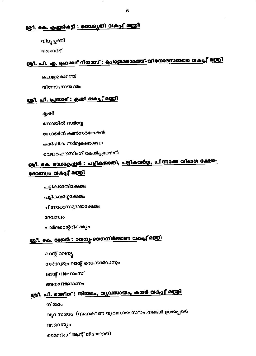### <u>ശ്രീ. കെ. കൃഷ്ണൻകട്ടി : വൈദൃതി വകപ്പ് മന്ത്രി</u>

വിദ്യച്ഛക്തി

അനെർട്

# ശ്രീ. പി. എ. ഹേമ്മദ് റിയാസ് : പൊതുരാമത്ത്-വിനോദസഞ്ചാര വകപ്പ് മന്ത്രി

പൊതുമരാമത്ത്

റിനോദസഞ്ചാരം

#### ശ്രീ. പി. പ്രസാദ് : കൃഷി <u>രകപ്പ് മന്ത്രി</u>

കൃഷി

സോയിൽ സർവ്വേ

സോയിൽ കൺസർവേഷൻ

കാർഷിക സർവ്വകലാശാല

വെയർഹൗസിംഗ് കോർപ്പറേഷൻ

### ശ്രീ. കെ. രാധാകൃഷ്ണൻ : പട്ടികജാതി, പട്ടികവർഗ്ഗ, പിന്നാക്ക വിഭാഗ ക്ഷേമ-ദേവസ്വം വകപ്പ് മന്ത്രി

പട്ടികജാതിക്ഷേമം

പട്ടികവർഗ്ഗക്ഷേമം

പിന്നാക്കസമ്പദായക്ഷേമം

ദേവസ്വം

പാർലമെന്ററികാര്യം

#### ശ്രീ. കെ. രാജർ : റവന്യ-ഭവനനിർമ്മാണ വകപ്പ് മന്ത്രി

ലാന്റ് റവന്യൂ

സർവ്വേയും ലാന്റ് റെക്കോർഡ്സും

ലാന്റ് റിഫോംസ്

ഭവനനിർമ്മാണം

### ശ്രീ. പി. രാജീവ് : നിയമം, വൃവസായം, കയർ വകപ്പ് മന്ത്രി

നിയമം

വ്യവസായം (സഹകരണ വ്യവസായ സ്ഥാപനങ്ങൾ ഉൾപ്പെടെ) വാണിജ്യം മൈനിംഗ് ആന്റ് ജിയോളജി

6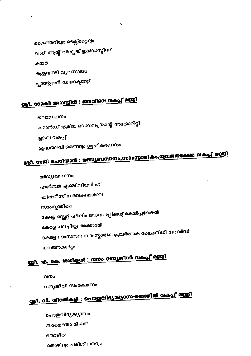പൊതുവിദ്യാഭ്യാസം സാക്ഷരതാ മിഷൻ ഞാഴിൽ തൊഴിലും പരിശീലനവും

# <u>ശ്രീ. വി. ശിവർകട്ടി : പൊഇവിദ്യാഭ്യാസ-തൊഴിൽ വകപ്പ് മന്ത്രി</u>

വന്യജീവി സംരക്ഷണം

വനം

# രൂ1. എ. കെ. ശശീന്ദ്രൻ : വനാ-വന്യജീവി വകപ്പു മന്ത്രി

യുവജനകാര്യം

കേരള സംസ്ഥാന സാംസ്കാരിക പ്രവർത്തക ക്ഷേമനിധി ബോർഡ്

കേരള ചലച്ചിത്ര അക്കാദമി

കേരള സ്റ്റേറ്റ് ഫിലിം ഡെവലപ്പ്മെന്റ് കോർപ്പറേഷൻ

സാംസ്കാരികം

ഫിഷറീസ് സർവകലാശാല

ഹാർബർ എഞ്ചിനീയറിംഗ്

മത്സ്യബന്ധനം

ജലസേചനം

# ശ്രീ. സജി ചെറിയാൻ : മത്സ്യബന്ധനം,സാംസ്കാരികം,യുവജനക്ഷേമ വകപ്പ് മന്ത്രി

കമാൻഡ് ഏരിയ ഡെവലപ്പ്മെന്റ് അതോറിറ്റി ഭ്രജല വക്ഷ് ശുദ്ധജലവിതരണവും ശുചീകരണവും

# ശ്രീ. 000ക്കി അഗസ്സിൻ : ജലവിഭവ വകപ്പ് മന്ത്രി

കൈത്തറിയും ടെക്സ്റ്റൈലും ഖാദി ആന്റ് വില്ലേജ് ഇൻഡസ്ലീസ് കയർ കശുവണ്ടി വ്യവസായം പ്ലാന്റേഷൻ ഡയറക്ടറേറ്റ്

x

l,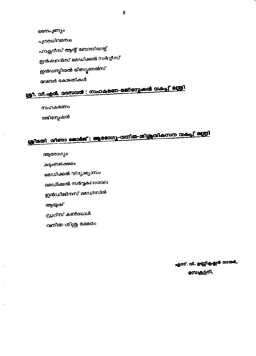സെക്രട്ടറി.

എസ്. വി. ഉണ്ണികൃഷ്ണൻ നായർ,

ഡ്രഗ്സ് കൺട്രോൾ

വനിത-ശിശു ക്ഷേമം

ആയുഷ്

ഇൻഡിജിനസ് മെഡിസിൻ

മെഡിക്കൽ സർവ്വകലാശാല

കട്ടംബക്ഷേമം മെഡിക്കൽ വിദ്യാഭ്യാസം

രജിസ്പേഷൻ

ആരോഗ്യം

സഹകരണം

ശ്രീ. വി.എന്മ. വാസവൻ : സഹകരണ-രജിസ്പേഷൻ വകുപ്പ് മന്ത്രി

ശ്രീമതി വിണാ ജോർജ് : ആരോഗ്യ-വനിത-ശിശ്രുവികസന വകപ്പ് മന്ത്രി

ഇൻഷനൻസ് മെഡിക്കൽ സർവ്വീസ് ഇൻഡസ്സിയൽ ട്രിബ്യൂണൽസ് ലേബർ കോടതികൾ

പുനരധിവാസം

ഫാക്സറീസ് ആന്റ് ബോയിലേഴ്ച്

രെനപുണ്യം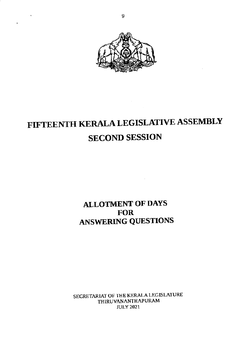

# FIFTEENTH KERALA LEGISLATIVE ASSEMBLY SECOND SESSION

#### ALLOTMENT OF DAYS **FOR** ANSWERING QUESTIONS

SECRETARIAT OF THE KERALA LEGISLATURE THIRUVANANTHAPURAM JULY 2021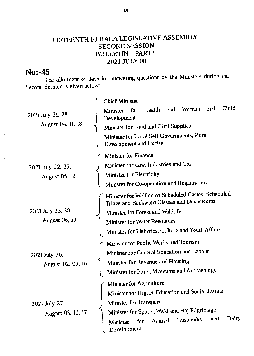#### FIFTEENTH KERALA LEGISLAIIVE ASSEMBLY SECOND SESSION BULLETIN \_PART II 2021 JULY 08

#### $No: -45$

The allotment of days for answering questions by the Ministers during the Second Session is given below:

| 2021 July 21, 28<br>August 04, 11, 18     | <b>Chief Minister</b>                                                                            |
|-------------------------------------------|--------------------------------------------------------------------------------------------------|
|                                           | Child<br>and<br>and Woman<br>Health<br>for<br>Minister<br>Development                            |
|                                           | Minister for Food and Civil Supplies                                                             |
|                                           | Minister for Local Self Governments, Rural<br>Development and Excise                             |
| 2021 July 22, 29,<br><b>August 05, 12</b> | Minister for Finance                                                                             |
|                                           | Minister for Law, Industries and Coir                                                            |
|                                           | <b>Minister for Electricity</b>                                                                  |
|                                           | Minister for Co-operation and Registration                                                       |
| 2021 July 23, 30,<br><b>August 06, 13</b> | Minister for Welfare of Scheduled Castes, Scheduled<br>Tribes and Backward Classes and Devaswoms |
|                                           | Minister for Forest and Wildlife                                                                 |
|                                           | <b>Minister for Water Resources</b>                                                              |
|                                           | Minister for Fisheries, Culture and Youth Affairs                                                |
| 2021 July 26,<br>August 02, 09, 16        | Minister for Public Works and Tourism                                                            |
|                                           | Minister for General Education and Labour                                                        |
|                                           | Minister for Revenue and Housing                                                                 |
|                                           | <b>Minister for Ports, Museums and Archaeology</b>                                               |
| 2021 July 27<br>August 03, 10, 17         | <b>Minister for Agriculture</b>                                                                  |
|                                           | Minister for Higher Education and Social Justice                                                 |
|                                           | Minister for Transport                                                                           |
|                                           | Minister for Sports, Wakf and Haj Pilgrimage                                                     |
|                                           | Dairy<br>and<br>Husbandry<br>Animal<br>for<br>Minister<br>Development                            |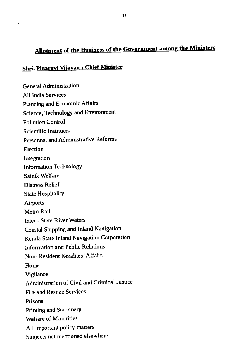#### Allotment of the Business of the Government among the Ministers

#### Shri. Pinarayi Vijayan : Chief Minister

 $\overline{a}$ 

**General Administration** All India Services Planning and Economic Affairs Science, Technology and Environment **Pollution Control Scientific Institutes** Personnel and Administrative Reforms **Election** Integration **Information Technology** Sainik Welfare **Distress Relief State Hospitality** Airports Metro Rail Inter - State River Waters Coastal Shipping and Inland Navigation Kerala State Inland Navigation Corporation Information and Public Relations Non-Resident Keralites' Affairs Home Vigilance Administration of Civil and Criminal Justice **Fire and Rescue Services** Prisons Printing and Stationery **Welfare of Minorities** All important policy matters Subjects not mentioned elsewhere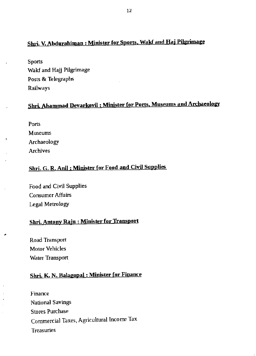#### Shri. V. Abdurahiman: Minister for Sports, Wald and Haj Pilgrimage

**Sports** Wakf and Hajj Pilgrimage Posts & Telegraphs Railways

#### Shri. Ahammad Devarkovil: Minister for Ports, Museums and Archaeology

| Ports       |
|-------------|
| Museums     |
| Archaeology |
| Archives    |

#### Shri. G. R. Anil: Minister for Food and Civil Supplies

Food and Civil Supplies Consumer Affairs **Legal Metrology** 

#### Shri. Antony Raju: Minister for Transport

Road Transport **Motor Vehicles Water Transport** 

#### Shri. K. N. Balagopal: Minister for Finance

Finance **National Savings Stores Purchase** Commercial Taxes, Agricultural Income Tax **Treasuries**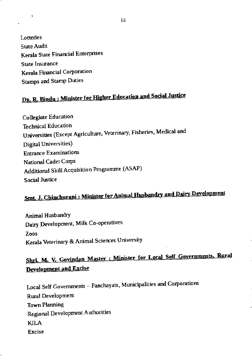Lotteries **State Audit** Kerala State Financial Enterprises **State Insurance Kerala Financial Corporation Stamps and Stamp Duties** 

# DR. R. Bindu: Minister for Higher Education and Social Justice

**Collegiate Education Technical Education** Universities (Except Agriculture, Veterinary, Fisheries, Medical and **Digital Universities**) **Entrance Examinations** National Cadet Corps Additional Skill Acquisition Programme (ASAP) **Social Justice** 

# <u>Smt. J. Chinchurani: Minister for Animal Husbandry and Dairy Development</u>

Animal Husbandry Dairy Development, Milk Co-operatives Zoos Kerala Veterinary & Animal Sciences University

### Shri. M. V. Govindan Master : Minister for Local Self Governments, Rural **Development and Excise**

Local Self Governments - Panchayats, Municipalities and Corporations Rural Development **Town Planning Regional Development Authorities** KILA **Excise**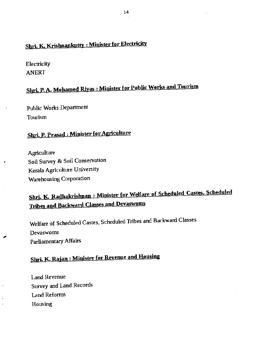### Shri. K. Krishnankutty : Minister for Electricity

**Electricity** ANERT

# Shri. P. A. Mohamed Riyas: Minister for Public Works and Tourism

Public Works Department Tourism

#### Shri. P. Prasad : Minister for Agriculture

Agriculture Soil Survey & Soil Conservation Kerala Agriculture Univeniry Warehousing Corporation

### Shri. K. Radhakrishnan : Minister for Welfare of Scheduled Castes, Scheduled **Tribes and Backward Classes and Devaswoms**

Welfare of Scheduled Castes, Scheduled Tribes and Backward Classes Devaswoms Parliamentary Affairs

### Shri. K. Rajan : Minister for Revenue and Housing

Land Revenue Survey and Land Records Land Reforms Housing

Ĵ,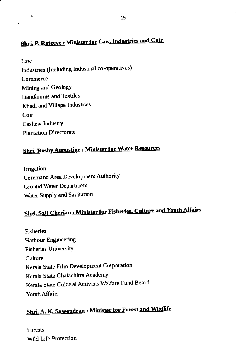### Shri, P. Rajeeve: Minister for Law, Industries and Coir

Law Industries (Including Industrial co-operatives) Commerce Mining and Geology Handlooms and Textiles Khadi and Village Industries Coir Cashew Industry Plantation Directorate

J.

### **Shri. Roshy Augustine: Minister for Water Resources**

Irrigation Command Area Development Authority Ground Water Department Water Supply and Sanitation

# Shri. Saji Cherian: Minister for Fisheries, Culture and Youth Affairs

**Fisheries Harbour Engineering Fisheries University** Culture Kerala State Film Development Corporation Kerala State Chalachitra Academy Kerala State Cultural Activists Welfare Fund Board Youth Affairs

### Shri, A. K. Saseendran : Minister for Forest and Wildlife

**Forests** Wild Life Protection